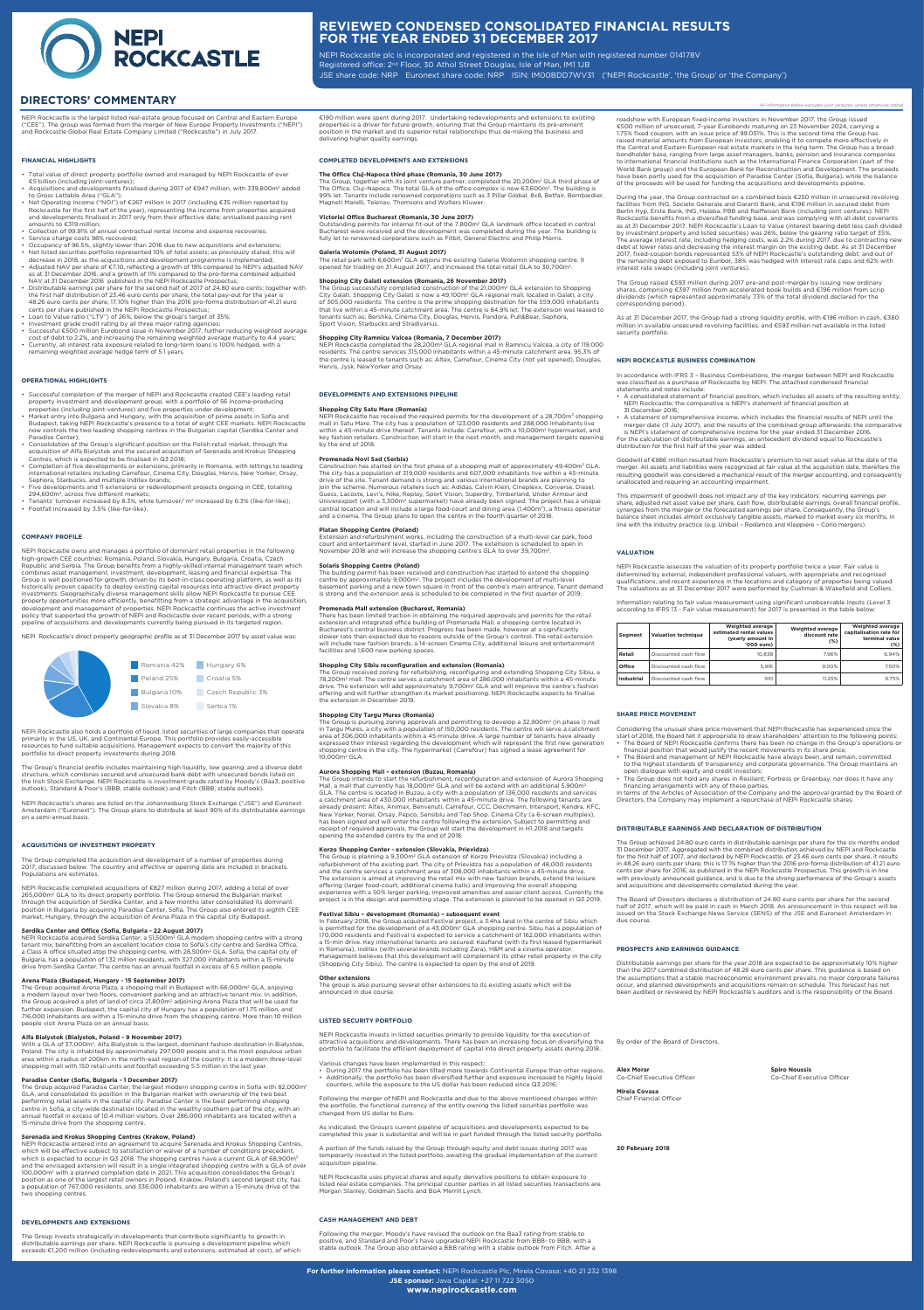**For further information please contact:** NEPI Rockcastle Plc, Mirela Covasa: +40 21 232 1398 **JSE sponsor:** Java Capital: +27 11 722 3050 **www.nepirockcastle.com**

NEPI Rockcastle is the largest listed real-estate group focused on Central and Eastern Europe ("CEE"). The group was formed from the merger of New Europe Property Investments ("NEPI") and Rockcastle Global Real Estate Company Limited ("Rockcastle") in July 2017.

## **FINANCIAL HIGHLIGHTS**

- Total value of direct property portfolio owned and managed by NEPI Rockcastle of over €5 billion (including joint-ventures);
- Acquisitions and developments finalised during 2017 of €947 million, with 339,800m2 added to Gross Lettable Area ("GLA");
- Net Operating Income ("NOI") of €267 million in 2017 (including €35 million reported by Rockcastle for the first half of the year), representing the income from properties acquired and developments finalised in 2017 only from their effective date; annualised passing rent amounts to €319 million;
- Collection of 99.91% of annual contractual rental income and expense recoveries;
- Service charge costs 98% recovered;
- Occupancy of 96.5%, slightly lower than 2016 due to new acquisitions and extensions; • Net listed securities portfolio represented 10% of total assets; as previously stated, this will
- decrease in 2018, as the acquisitions and development programme is implemented; • Adjusted NAV per share of €7.10, reflecting a growth of 19% compared to NEPI's adjusted NAV as at 31 December 2016, and a growth of 11% compared to the pro-forma combined adjusted
- NAV at 31 December 2016 published in the NEPI Rockcastle Prospectus; • Distributable earnings per share for the second half of 2017 of 24.80 euro cents; together with the first half distribution of 23.46 euro cents per share, the total pay-out for the year is 48.26 euro cents per share, 17.10% higher than the 2016 pro-forma distribution of 41.21 euro cents per share published in the NEPI Rockcastle Prospectus;
- Loan to Value ratio ("LTV") of 26%, below the group's target of 35%;
- Investment grade credit rating by all three major rating agencies;
- Successful €500 million Eurobond issue in November 2017, further reducing weighted average cost of debt to 2.2%, and increasing the remaining weighted average maturity to 4.4 years; • Currently, all interest rate exposure related to long-term loans is 100% hedged, with a
- remaining weighted average hedge term of 5.1 years.

## **OPERATIONAL HIGHLIGHTS**

The Group, together with its joint venture partner, completed the  $20,200$ m $^2$  GLA third phase of The Office, Clui-Napoca. The total GLA of the office complex is now 63,600m<sup>2</sup>. The building is 99% let. Tenants include renowned corporations such as 3 Pillar Global, 8x8, Betfair, Bombardier, Magneti Marelli, Telenav, Thomsons and Wolters Kluwer.

- Successful completion of the merger of NEPI and Rockcastle created CEE's leading retail property investment and development group, with a portfolio of 56 income-producing properties (including joint-ventures) and five properties under development;
- Market entry into Bulgaria and Hungary, with the acquisition of prime assets in Sofia and Budapest, taking NEPI Rockcastle's presence to a total of eight CEE markets. NEPI Rockcastle now controls the two leading shopping centres in the Bulgarian capital (Serdika Center and Paradise Center);
- Consolidation of the Group's significant position on the Polish retail market, through the acquisition of Alfa Bialystok and the secured acquisition of Serenada and Krokus Shopping Centres, which is expected to be finalised in Q3 2018;
- Completion of five developments or extensions, primarily in Romania, with lettings to leading international retailers including Carrefour, Cinema City, Douglas, Hervis, New Yorker, Orsay, Sephora, Starbucks, and multiple Inditex brands;
- Five developments and 11 extensions or redevelopment projects ongoing in CEE, totalling 294,600m2, across five different markets;
- Tenants' turnover increased by 8.3%, while turnover/ $m^2$  increased by 6.3% (like-for-like); • Footfall increased by 3.5% (like-for-like).

The Group successfully completed construction of the 21,000m<sup>2</sup> GLA extension to Shopping City Galati. Shopping City Galati is now a 49,100m2 GLA regional mall, located in Galati, a city of 305,000 residents. The centre is the prime shopping destination for the 559,000 inhabitants that live within a 45-minute catchment area. The centre is 84.9% let. The extension was leased to tenants such as: Bershka, Cinema City, Douglas, Hervis, Pandora, Pull&Bear, Sephora, Sport Vision, Starbucks and Stradivarius.

#### **COMPANY PROFILE**

NEPI Rockcastle has received the required permits for the development of a 28,700m<sup>2</sup> shopping mall in Satu Mare. The city has a population of 123,000 residents and 288,000 inhabitants live within a 45-minute drive thereof. Tenants include: Carrefour, with a 10,000m<sup>2</sup> hypermarket, and key fashion retailers. Construction will start in the next month, and management targets opening by the end of 2018.

Construction has started on the first phase of a shopping mall of approximately 49,400m<sup>2</sup> GLA. The city has a population of 319,000 residents and 607,000 inhabitants live within a 45-minute drive of the site. Tenant demand is strong and various international brands are planning to join the scheme. Numerous retailers such as: Adidas, Calvin Klein, Cineplexx, Converse, Diesel, Guess, Lacoste, Levi's, Nike, Replay, Sport Vision, Superdry, Timberland, Under Armour and Univerexport (with a 3,300m<sup>2</sup> supermarket) have already been signed. The project has a unique central location and will include a large food-court and dining area (1,400m2), a fitness operator and a cinema. The Group plans to open the centre in the fourth quarter of 2018.

Extension and refurbishment works, including the construction of a multi-level car park, food court and entertainment level, started in June 2017. The extension is scheduled to open in November 2018 and will increase the shopping centre's GLA to over 39,700m<sup>2</sup>

NEPI Rockcastle owns and manages a portfolio of dominant retail properties in the following high-growth CEE countries: Romania, Poland, Slovakia, Hungary, Bulgaria, Croatia, Czech Republic and Serbia. The Group benefits from a highly-skilled internal management team which combines asset management, investment, development, leasing and financial expertise. The Group is well positioned for growth, driven by its best-in-class operating platform, as well as its historically proven capacity to deploy existing capital resources into attractive direct property investments. Geographically diverse management skills allow NEPI Rockcastle to pursue CEE property opportunities more efficiently, benefitting from a strategic advantage in the acquisition, development and management of properties. NEPI Rockcastle continues the active investment policy that supported the growth of NEPI and Rockcastle over recent periods, with a strong pipeline of acquisitions and developments currently being pursued in its targeted region.

NEPI Rockcastle's direct property geographic profile as at 31 December 2017 by asset value was:

€190 million were spent during 2017. Undertaking redevelopments and extensions to existing properties is a driver for future growth, ensuring that the Group maintains its pre-eminent position in the market and its superior retail relationships thus de-risking the business and delivering higher quality earnings.

## **COMPLETED DEVELOPMENTS AND EXTENSIONS**

## **The Office Cluj-Napoca third phase (Romania, 30 June 2017)**

The Group is pursuing zoning approvals and permitting to develop a 32.900m<sup>2</sup> (in phase I) mall in Targu Mures, a city with a population of 150,000 residents. The centre will serve a catchment area of 306,000 inhabitants within a 45-minute drive. A large number of tenants have already expressed their interest regarding the development which will represent the first new generation shopping centre in the city. The hypermarket (Carrefour) has signed a lease agreement for 10,000m2 GLA.

## **Victoriei Office Bucharest (Romania, 30 June 2017)**

Outstanding permits for internal fit-out of the 7,800m2 GLA landmark office located in central Bucharest were received and the development was completed during the year. The building is fully let to renowned corporations such as Fitbit, General Electric and Philip Morris.

## **Galeria Wolomin (Poland, 31 August 2017)**

The retail park with 6,600m2 GLA adjoins the existing Galeria Wolomin shopping centre. It opened for trading on 31 August 2017, and increased the total retail GLA to 30,700m2.

## **Shopping City Galati extension (Romania, 26 November 2017)**

## **Shopping City Ramnicu Valcea (Romania, 7 December 2017)**

NEPI Rockcastle completed the 28,200m2 GLA regional mall in Ramnicu Valcea, a city of 119,000 residents. The centre services 315,000 inhabitants within a 45-minute catchment area. 95.3% of the centre is leased to tenants such as: Altex, Carrefour, Cinema City (not yet opened), Douglas, Hervis, Jysk, NewYorker and Orsay.

#### **DEVELOPMENTS AND EXTENSIONS PIPELINE**

## **Shopping City Satu Mare (Romania)**

## **Promenada Novi Sad (Serbia)**

## **Platan Shopping Centre (Poland)**

#### **Solaris Shopping Centre (Poland)**

The building permit has been received and construction has started to extend the shopping centre by approximately 9,000m<sup>2</sup>. The project includes the development of multi-level basement parking and a new town square in front of the centre's main entrance. Tenant demand is strong and the extension area is scheduled to be completed in the first quarter of 2019.

#### **Promenada Mall extension (Bucharest, Romania)**

There has been limited traction in obtaining the required approvals and permits for the retail extension and integrated office building of Promenada Mall, a shopping centre located in Bucharest's central business district. Progress has been made, however at a significantly slower rate than expected due to reasons outside of the Group's control. The retail extension will include new fashion brands, a 14-screen Cinema City, additional leisure and entertainment facilities and 1,600 new parking spaces.

## **Shopping City Sibiu reconfiguration and extension (Romania)**

The Group received zoning for refurbishing, reconfiguring and extending Shopping City Sibiu, a 78,200m2 mall. The centre serves a catchment area of 286,000 inhabitants within a 45-minute drive. The extension will add approximately 9,700m2 GLA and will improve the centre's fashion offering and will further strengthen its market positioning. NEPI Rockcastle expects to finalise the extension in December 2019.

## **Shopping City Targu Mures (Romania)**

## **Aurora Shopping Mall – extension (Buzau, Romania)**

The Group intends to start the refurbishment, reconfiguration and extension of Aurora Shopping Mall, a mall that currently has 18,000m<sup>2</sup> GLA and will be extend with an additional 5,900m<sup>2</sup> GLA. The centre is located in Buzau, a city with a population of 136,000 residents and services a catchment area of 430,000 inhabitants within a 45-minute drive. The following tenants are already present: Altex, Animax, Benvenuti, Carrefour, CCC, Deichmann, Intersport, Kendra, KFC, New Yorker, Noriel, Orsay, Pepco, Sensiblu and Top Shop. Cinema City (a 6-screen multiplex), has been signed and will enter the centre following the extension. Subject to permitting and receipt of required approvals, the Group will start the development in H1 2018 and targets opening the extended centre by the end of 2018.

## **Korzo Shopping Center - extension (Slovakia, Prievidza)**

The Group is planning a 9,300m2 GLA extension of Korzo Prievidza (Slovakia) including a refurbishment of the existing part. The city of Prievidza has a population of 48,000 residents and the centre services a catchment area of 308,000 inhabitants within a 45-minute drive. The extension is aimed at improving the retail mix with new fashion brands, extend the leisure offering (larger food-court, additional cinema halls) and improving the overall shopping experience with a 50% larger parking, improved amenities and easier client access. Currently the project is in the design and permitting stage. The extension is planned to be opened in Q3 2019.

## **Festival Sibiu – development (Romania) – subsequent event**

In February 2018, the Group acquired Festival project, a 3.4ha land in the centre of Sibiu which is permitted for the development of a 43,000m<sup>2</sup> GLA shopping centre. Sibiu has a population of 170,000 residents and Festival is expected to service a catchment of 162,000 inhabitants within a 15-min drive. Key international tenants are secured: Kaufland (with its first leased hypermarket in Romania), Inditex (with several brands including Zara), H&M and a cinema operator. Management believes that this development will complement its other retail property in the city (Shopping City Sibiu). The centre is expected to open by the end of 2019.

The Group acquired Arena Plaza, a shopping mall in Budapest with 66,000m<sup>2</sup> GLA, enjoying a modern layout over two floors, convenient parking and an attractive tenant mix. In addition, the Group acquired a plot of land of circa 21,800m<sup>2</sup> adjoining Arena Plaza that will be used for further expansion. Budapest, the capital city of Hungary has a population of 1.75 million, and 716,000 inhabitants are within a 15-minute drive from the shopping centre. More than 10 million people visit Arena Plaza on an annual basis.

## **Other extensions**

The group is also pursuing several other extensions to its existing assets which will be announced in due course.

## **LISTED SECURITY PORTFOLIO**

NEPI Rockcastle invests in listed securities primarily to provide liquidity for the execution of attractive acquisitions and developments. There has been an increasing focus on diversifying the portfolio to facilitate the efficient deployment of capital into direct property assets during 2018.

Various changes have been implemented in this respect:

The Group acquired Paradise Center, the largest modern shopping centre in Sofia with 82,000m<sup>2</sup> GLA, and consolidated its position in the Bulgarian market with ownership of the two best performing retail assets in the capital city. Paradise Center is the best performing shopping centre in Sofia, a city-wide destination located in the wealthy southern part of the city, with an annual footfall in excess of 10.4 million visitors. Over 286,000 inhabitants are located within a 15-minute drive from the shopping centre.

- During 2017 the portfolio has been tilted more towards Continental Europe than other regions. • Additionally, the portfolio has been diversified further and exposure increased to highly liquid
- counters, while the exposure to the US dollar has been reduced since Q3 2016;

Following the merger of NEPI and Rockcastle and due to the above mentioned changes within the portfolio, the functional currency of the entity owning the listed securities portfolio was changed from US dollar to Euro.

As indicated, the Group's current pipeline of acquisitions and developments expected to be completed this year is substantial and will be in part funded through the listed security portfolio.

A portion of the funds raised by the Group through equity and debt issues during 2017 was temporarily invested in the listed portfolio, awaiting the gradual implementation of the current acquisition pipeline.

NEPI Rockcastle uses physical shares and equity derivative positions to obtain exposure to listed real estate companies. The principal counter parties in all listed securities transactions are Morgan Stanley, Goldman Sachs and BoA Merrill Lynch.

## **CASH MANAGEMENT AND DEBT**

Following the merger, Moody's have revised the outlook on the Baa3 rating from stable to positive, and Standard and Poor's have upgraded NEPI Rockcastle from BBB- to BBB, with a stable outlook. The Group also obtained a BBB rating with a stable outlook from Fitch. After a



# **REVIEWED CONDENSED CONSOLIDATED FINANCIAL RESULTS FOR THE YEAR ENDED 31 DECEMBER 2017**

NEPI Rockcastle plc is incorporated and registered in the Isle of Man with registered number 014178V Registered office: 2<sup>nd</sup> Floor, 30 Athol Street Douglas, Isle of Man, IM1 1JB JSE share code: NRP Euronext share code: NRP ISIN: IM00BDD7WV31 ('NEPI Rockcastle', 'the Group' or 'the Company')

## **DIRECTORS' COMMENTARY** *All information below excludes joint ventures, unless otherwise stated*

roadshow with European fixed-income investors in November 2017, the Group issued €500 million of unsecured, 7-year Eurobonds maturing on 23 November 2024, carrying a 1.75% fixed coupon, with an issue price of 99.051%. This is the second time the Group has raised material amounts from European investors, enabling it to compete more effectively in the Central and Eastern European real estate markets in the long term. The Group has a broad bondholder base, ranging from large asset managers, banks, pension and insurance companies to international financial institutions such as the International Finance Corporation (part of the World Bank group) and the European Bank for Reconstruction and Development. The proceeds have been partly used for the acquisition of Paradise Center (Sofia, Bulgaria), while the balance of the proceeds will be used for funding the acquisitions and developments pipeline.

During the year, the Group contracted on a combined basis €250 million in unsecured revolving facilities from ING, Societe Generale and Garanti Bank, and €196 million in secured debt from Berlin Hyp, Erste Bank, ING, Helaba, PBB and Raiffeisen Bank (including joint ventures). NEPI Rockcastle benefits from a diversified funding base, and was complying with all debt covenants as at 31 December 2017. NEPI Rockcastle's Loan to Value (interest bearing debt less cash divided by investment property and listed securities) was 26%, below the gearing ratio target of 35%. The average interest rate, including hedging costs, was 2.2% during 2017, due to contracting new debt at lower rates and decreasing the interest margin on the existing debt. As at 31 December 2017, fixed-coupon bonds represented 53% of NEPI Rockcastle's outstanding debt, and out of the remaining debt exposed to Euribor, 38% was hedged with interest rate caps and 62% with interest rate swaps (including joint ventures).

The Group raised €593 million during 2017 pre-and post-merger by issuing new ordinary shares, comprising €397 million from accelerated book builds and €196 million from scrip dividends (which represented approximately 73% of the total dividend declared for the corresponding period).

As at 31 December 2017, the Group had a strong liquidity profile, with €196 million in cash, €380 million in available unsecured revolving facilities, and €593 million net available in the listed security portfolio.

## **NEPI ROCKCASTLE BUSINESS COMBINATION**

In accordance with IFRS 3 – Business Combinations, the merger between NEPI and Rockcastle was classified as a purchase of Rockcastle by NEPI. The attached condensed financial statements and notes include:

- A consolidated statement of financial position, which includes all assets of the resulting entity, NEPI Rockcastle; the comparative is NEPI's statement of financial position at 31 December 2016;
- A statement of comprehensive income, which includes the financial results of NEPI until the merger date (11 July 2017), and the results of the combined group afterwards; the comparative

is NEPI's statement of comprehensive income for the year ended 31 December 2016. For the calculation of distributable earnings, an antecedent dividend equal to Rockcastle's distribution for the first half of the year was added.

Goodwill of €886 million resulted from Rockcastle's premium to net asset value at the date of the merger. All assets and liabilities were recognized at fair value at the acquisition date, therefore the resulting goodwill was considered a mechanical result of the merger accounting, and consequently unallocated and requiring an accounting impairment.

This impairment of goodwill does not impact any of the key indicators: recurring earnings per share, adjusted net asset value per share, cash flow, distributable earnings, overall financial profile, synergies from the merger or the forecasted earnings per share. Consequently, the Group's balance sheet includes almost exclusively tangible assets, marked to market every six months, in line with the industry practice (e.g. Unibail – Rodamco and Kleppiere – Corio mergers).

## **VALUATION**

NEPI Rockcastle assesses the valuation of its property portfolio twice a year. Fair value is determined by external, independent professional valuers, with appropriate and recognised qualifications, and recent experience in the locations and category of properties being valued. The valuations as at 31 December 2017 were performed by Cushman & Wakefield and Colliers.

Information relating to fair value measurement using significant unobservable inputs (Level 3 according to IFRS 13 - Fair value measurement) for 2017 is presented in the table below:

| Seament           | <b>Valuation technique</b> | <b>Weighted average</b><br>estimated rental values<br>(yearly amount in<br>'000 euro) | <b>Weighted average</b><br>discount rate<br>$(\%)$ | Weighted average<br>capitalisation rate for<br>terminal value<br>$(\%)$ |
|-------------------|----------------------------|---------------------------------------------------------------------------------------|----------------------------------------------------|-------------------------------------------------------------------------|
| Retail            | Discounted cash flow       | 10.838                                                                                | 7.96%                                              | 6.94%                                                                   |
| Office            | Discounted cash flow       | 5.916                                                                                 | 9.00%                                              | 7.50%                                                                   |
| <b>Industrial</b> | Discounted cash flow       | 910                                                                                   | 11.25%                                             | 9.75%                                                                   |

#### **SHARE PRICE MOVEMENT**

Considering the unusual share price movement that NEPI Rockcastle has experienced since the start of 2018, the Board felt it appropriate to draw shareholders' attention to the following points:

- The Board of NEPI Rockcastle confirms there has been no change in the Group's operations or
	- financial position that would justify the recent movements in its share price;
- The Board and management of NEPI Rockcastle have always been, and remain, committed

to the highest standards of transparency and corporate governance. The Group maintains an open dialogue with equity and credit investors;

• The Group does not hold any shares in Resilient, Fortress or Greenbay, nor does it have any financing arrangements with any of these parties.

In terms of the Articles of Association of the Company and the approval granted by the Board of Directors, the Company may implement a repurchase of NEPI Rockcastle shares.

#### **DISTRIBUTABLE EARNINGS AND DECLARATION OF DISTRIBUTION**

The Group achieved 24.80 euro cents in distributable earnings per share for the six months ended 31 December 2017. Aggregated with the combined distribution achieved by NEPI and Rockcastle for the first half of 2017, and declared by NEPI Rockcastle, of 23.46 euro cents per share, it results in 48.26 euro cents per share; this is 17.1% higher than the 2016 pro-forma distribution of 41.21 euro cents per share for 2016, as published in the NEPI Rockcastle Prospectus. This growth is in line with previously announced guidance, and is due to the strong performance of the Group's assets and acquisitions and developments completed during the year.

The Board of Directors declares a distribution of 24.80 euro cents per share for the second half of 2017, which will be paid in cash in March 2018. An announcement in this respect will be issued on the Stock Exchange News Service (SENS) of the JSE and Euronext Amsterdam in due course.

## **PROSPECTS AND EARNINGS GUIDANCE**

Distributable earnings per share for the year 2018 are expected to be approximately 10% higher than the 2017 combined distribution of 48.26 euro cents per share. This guidance is based on the assumptions that a stable macroeconomic environment prevails, no major corporate failures occur, and planned developments and acquisitions remain on schedule. This forecast has not been audited or reviewed by NEPI Rockcastle's auditors and is the responsibility of the Board.

By order of the Board of Directors,

**Alex Morar Spiro Noussis**

Co-Chief Executive Officer Co-Chief Executive Officer

**Mirela Covasa** Chief Financial Officer

**20 February 2018**



primarily in the US, UK, and Continental Europe. This portfolio provides easily-accessible resources to fund suitable acquisitions. Management expects to convert the majority of this portfolio to direct property investments during 2018.

The Group's financial profile includes maintaining high liquidity, low gearing, and a diverse debt structure, which combines secured and unsecured bank debt with unsecured bonds listed on the Irish Stock Exchange. NEPI Rockcastle is investment-grade rated by Moody's (Baa3, positive outlook), Standard & Poor's (BBB, stable outlook) and Fitch (BBB, stable outlook).

NEPI Rockcastle's shares are listed on the Johannesburg Stock Exchange ("JSE") and Euronext Amsterdam ("Euronext"). The Group plans to distribute at least 90% of its distributable earnings on a semi-annual basis.

## **ACQUISITIONS OF INVESTMENT PROPERTY**

The Group completed the acquisition and development of a number of properties during 2017, discussed below. The country and effective or opening date are included in brackets. Populations are estimates.

NEPI Rockcastle completed acquisitions of €827 million during 2017, adding a total of over 265,000m2 GLA to its direct property portfolio. The Group entered the Bulgarian market through the acquisition of Serdika Center, and a few months later consolidated its dominant position in Bulgaria by acquiring Paradise Center, Sofia. The Group also entered its eighth CEE market, Hungary, through the acquisition of Arena Plaza in the capital city Budapest.

## **Serdika Center and Office (Sofia, Bulgaria - 22 August 2017)**

NEPI Rockcastle acquired Serdika Center, a 51,500m2 GLA modern shopping centre with a strong tenant mix, benefitting from an excellent location close to Sofia's city centre and Serdika Office, a Class A office situated atop the shopping centre, with 28,500m<sup>2</sup> GLA. Sofia, the capital city of Bulgaria, has a population of 1.32 million residents, with 327,000 inhabitants within a 15-minute drive from Serdika Center. The centre has an annual footfall in excess of 6.5 million people.

#### **Arena Plaza (Budapest, Hungary - 15 September 2017)**

#### **Alfa Bialystok (Bialystok, Poland - 9 November 2017)**

With a GLA of 37,000m2, Alfa Bialystok is the largest, dominant fashion destination in Białystok, Poland. The city is inhabited by approximately 297,000 people and is the most populous urban area within a radius of 200km in the north-east region of the country. It is a modern three-level shopping mall with 150 retail units and footfall exceeding 5.5 million in the last year.

## **Paradise Center (Sofia, Bulgaria - 1 December 2017)**

## **Serenada and Krokus Shopping Centres (Krakow, Poland)**

NEPI Rockcastle entered into an agreement to acquire Serenada and Krokus Shopping Centres, which will be effective subject to satisfaction or waiver of a number of conditions precedent, which is expected to occur in Q3 2018. The shopping centres have a current GLA of 68,900m<sup>2</sup> and the envisaged extension will result in a single integrated shopping centre with a GLA of over 100,000m2 with a planned completion date in 2021. This acquisition consolidates the Group's position as one of the largest retail owners in Poland. Krakow, Poland's second largest city, has a population of 767,000 residents, and 336,000 inhabitants are within a 15-minute drive of the two shopping centres.

#### **DEVELOPMENTS AND EXTENSIONS**

The Group invests strategically in developments that contribute significantly to growth in distributable earnings per share. NEPI Rockcastle is pursuing a development pipeline which exceeds €1,200 million (including redevelopments and extensions, estimated at cost), of which